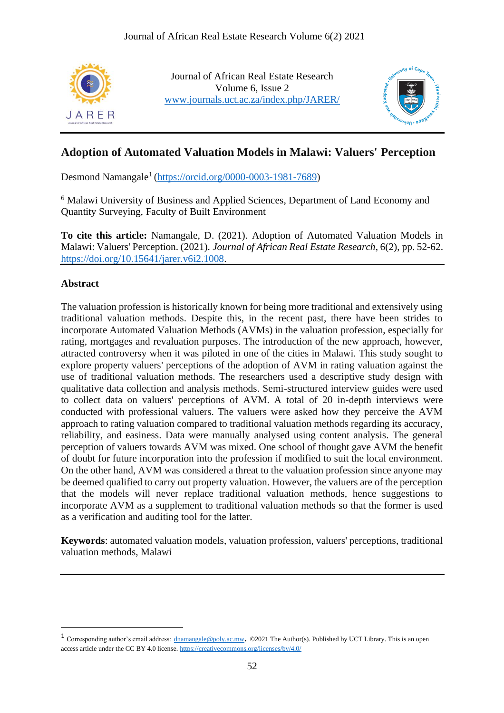

Journal of African Real Estate Research Volume 6, Issue 2 [www.journals.uct.ac.za/index.php/JARER/](http://www.journals.uct.ac.za/index.php/JARER/index)



# **Adoption of Automated Valuation Models in Malawi: Valuers' Perception**

Desmond Namangale<sup>1</sup> [\(https://orcid.org/0000-0003-1981-7689\)](https://orcid.org/0000-0003-1981-7689)

<sup>6</sup> Malawi University of Business and Applied Sciences, Department of Land Economy and Quantity Surveying, Faculty of Built Environment

**To cite this article:** Namangale, D. (2021). Adoption of Automated Valuation Models in Malawi: Valuers' Perception. (2021). *Journal of African Real Estate Research*, 6(2), pp. 52-62. [https://doi.org/10.15641/jarer.v6i2.1008.](https://doi.org/10.15641/jarer.v6i2.1008)

### **Abstract**

The valuation profession is historically known for being more traditional and extensively using traditional valuation methods. Despite this, in the recent past, there have been strides to incorporate Automated Valuation Methods (AVMs) in the valuation profession, especially for rating, mortgages and revaluation purposes. The introduction of the new approach, however, attracted controversy when it was piloted in one of the cities in Malawi. This study sought to explore property valuers' perceptions of the adoption of AVM in rating valuation against the use of traditional valuation methods. The researchers used a descriptive study design with qualitative data collection and analysis methods. Semi-structured interview guides were used to collect data on valuers' perceptions of AVM. A total of 20 in-depth interviews were conducted with professional valuers. The valuers were asked how they perceive the AVM approach to rating valuation compared to traditional valuation methods regarding its accuracy, reliability, and easiness. Data were manually analysed using content analysis. The general perception of valuers towards AVM was mixed. One school of thought gave AVM the benefit of doubt for future incorporation into the profession if modified to suit the local environment. On the other hand, AVM was considered a threat to the valuation profession since anyone may be deemed qualified to carry out property valuation. However, the valuers are of the perception that the models will never replace traditional valuation methods, hence suggestions to incorporate AVM as a supplement to traditional valuation methods so that the former is used as a verification and auditing tool for the latter.

**Keywords**: automated valuation models, valuation profession, valuers' perceptions, traditional valuation methods, Malawi

<sup>&</sup>lt;sup>1</sup> Corresponding author's email address:  $\frac{d$ namangale@poly.ac.mw. ©2021 The Author(s). Published by UCT Library. This is an open access article under the CC BY 4.0 license[. https://creativecommons.org/licenses/by/4.0/](https://creativecommons.org/licenses/by/4.0/)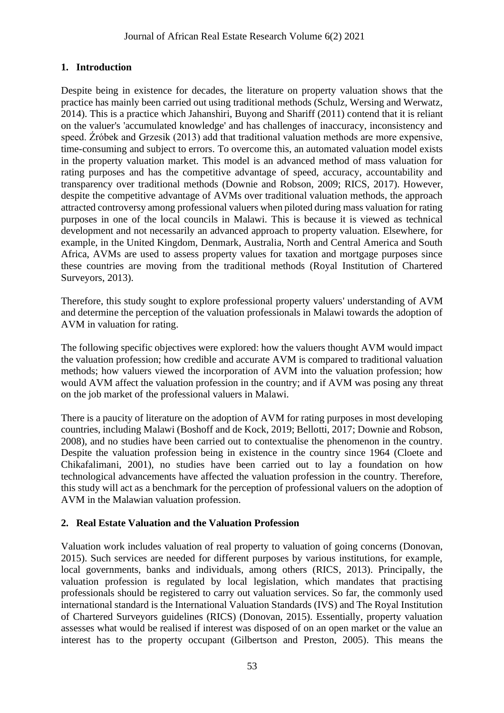# **1. Introduction**

Despite being in existence for decades, the literature on property valuation shows that the practice has mainly been carried out using traditional methods (Schulz, Wersing and Werwatz, 2014). This is a practice which Jahanshiri, Buyong and Shariff (2011) contend that it is reliant on the valuer's 'accumulated knowledge' and has challenges of inaccuracy, inconsistency and speed. Źróbek and Grzesik (2013) add that traditional valuation methods are more expensive, time-consuming and subject to errors. To overcome this, an automated valuation model exists in the property valuation market. This model is an advanced method of mass valuation for rating purposes and has the competitive advantage of speed, accuracy, accountability and transparency over traditional methods (Downie and Robson, 2009; RICS, 2017). However, despite the competitive advantage of AVMs over traditional valuation methods, the approach attracted controversy among professional valuers when piloted during mass valuation for rating purposes in one of the local councils in Malawi. This is because it is viewed as technical development and not necessarily an advanced approach to property valuation. Elsewhere, for example, in the United Kingdom, Denmark, Australia, North and Central America and South Africa, AVMs are used to assess property values for taxation and mortgage purposes since these countries are moving from the traditional methods (Royal Institution of Chartered Surveyors, 2013).

Therefore, this study sought to explore professional property valuers' understanding of AVM and determine the perception of the valuation professionals in Malawi towards the adoption of AVM in valuation for rating.

The following specific objectives were explored: how the valuers thought AVM would impact the valuation profession; how credible and accurate AVM is compared to traditional valuation methods; how valuers viewed the incorporation of AVM into the valuation profession; how would AVM affect the valuation profession in the country; and if AVM was posing any threat on the job market of the professional valuers in Malawi.

There is a paucity of literature on the adoption of AVM for rating purposes in most developing countries, including Malawi (Boshoff and de Kock, 2019; Bellotti, 2017; Downie and Robson, 2008), and no studies have been carried out to contextualise the phenomenon in the country. Despite the valuation profession being in existence in the country since 1964 (Cloete and Chikafalimani, 2001), no studies have been carried out to lay a foundation on how technological advancements have affected the valuation profession in the country. Therefore, this study will act as a benchmark for the perception of professional valuers on the adoption of AVM in the Malawian valuation profession.

### **2. Real Estate Valuation and the Valuation Profession**

Valuation work includes valuation of real property to valuation of going concerns (Donovan, 2015). Such services are needed for different purposes by various institutions, for example, local governments, banks and individuals, among others (RICS, 2013). Principally, the valuation profession is regulated by local legislation, which mandates that practising professionals should be registered to carry out valuation services. So far, the commonly used international standard is the International Valuation Standards (IVS) and The Royal Institution of Chartered Surveyors guidelines (RICS) (Donovan, 2015). Essentially, property valuation assesses what would be realised if interest was disposed of on an open market or the value an interest has to the property occupant (Gilbertson and Preston, 2005). This means the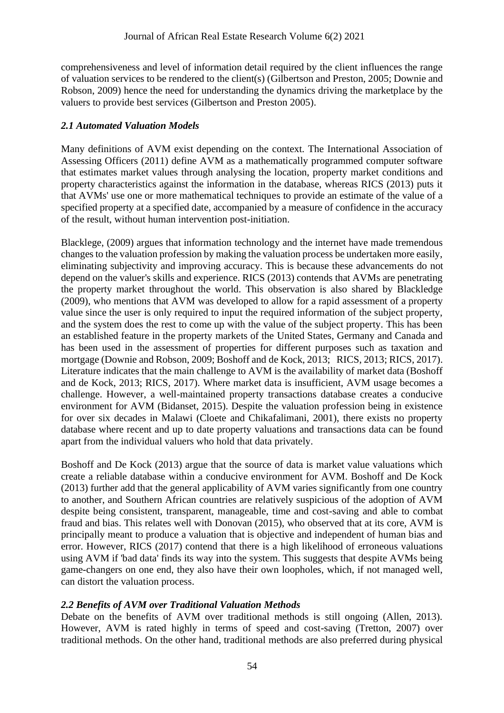comprehensiveness and level of information detail required by the client influences the range of valuation services to be rendered to the client(s) (Gilbertson and Preston, 2005; Downie and Robson, 2009) hence the need for understanding the dynamics driving the marketplace by the valuers to provide best services (Gilbertson and Preston 2005).

### *2.1 Automated Valuation Models*

Many definitions of AVM exist depending on the context. The International Association of Assessing Officers (2011) define AVM as a mathematically programmed computer software that estimates market values through analysing the location, property market conditions and property characteristics against the information in the database, whereas RICS (2013) puts it that AVMs' use one or more mathematical techniques to provide an estimate of the value of a specified property at a specified date, accompanied by a measure of confidence in the accuracy of the result, without human intervention post-initiation.

Blacklege, (2009) argues that information technology and the internet have made tremendous changes to the valuation profession by making the valuation process be undertaken more easily, eliminating subjectivity and improving accuracy. This is because these advancements do not depend on the valuer's skills and experience. RICS (2013) contends that AVMs are penetrating the property market throughout the world. This observation is also shared by Blackledge (2009), who mentions that AVM was developed to allow for a rapid assessment of a property value since the user is only required to input the required information of the subject property, and the system does the rest to come up with the value of the subject property. This has been an established feature in the property markets of the United States, Germany and Canada and has been used in the assessment of properties for different purposes such as taxation and mortgage (Downie and Robson, 2009; Boshoff and de Kock, 2013; RICS, 2013; RICS, 2017). Literature indicates that the main challenge to AVM is the availability of market data (Boshoff and de Kock, 2013; RICS, 2017). Where market data is insufficient, AVM usage becomes a challenge. However, a well-maintained property transactions database creates a conducive environment for AVM (Bidanset, 2015). Despite the valuation profession being in existence for over six decades in Malawi (Cloete and Chikafalimani, 2001), there exists no property database where recent and up to date property valuations and transactions data can be found apart from the individual valuers who hold that data privately.

Boshoff and De Kock (2013) argue that the source of data is market value valuations which create a reliable database within a conducive environment for AVM. Boshoff and De Kock (2013) further add that the general applicability of AVM varies significantly from one country to another, and Southern African countries are relatively suspicious of the adoption of AVM despite being consistent, transparent, manageable, time and cost-saving and able to combat fraud and bias. This relates well with Donovan (2015), who observed that at its core, AVM is principally meant to produce a valuation that is objective and independent of human bias and error. However, RICS (2017) contend that there is a high likelihood of erroneous valuations using AVM if 'bad data' finds its way into the system. This suggests that despite AVMs being game-changers on one end, they also have their own loopholes, which, if not managed well, can distort the valuation process.

#### *2.2 Benefits of AVM over Traditional Valuation Methods*

Debate on the benefits of AVM over traditional methods is still ongoing (Allen, 2013). However, AVM is rated highly in terms of speed and cost-saving (Tretton, 2007) over traditional methods. On the other hand, traditional methods are also preferred during physical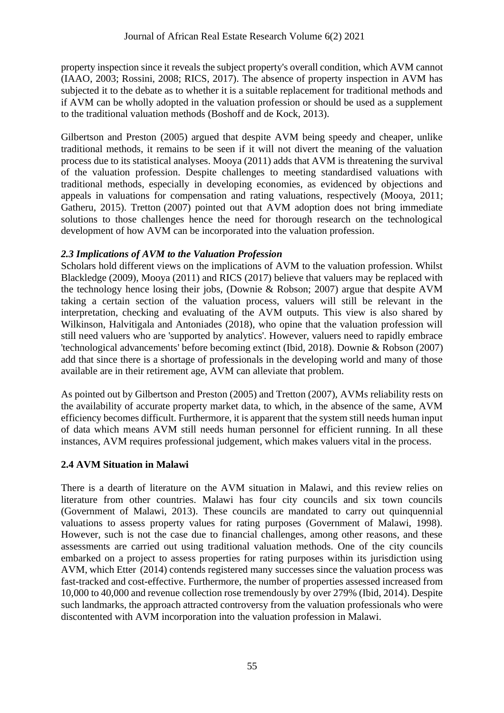property inspection since it reveals the subject property's overall condition, which AVM cannot (IAAO, 2003; Rossini, 2008; RICS, 2017). The absence of property inspection in AVM has subjected it to the debate as to whether it is a suitable replacement for traditional methods and if AVM can be wholly adopted in the valuation profession or should be used as a supplement to the traditional valuation methods (Boshoff and de Kock, 2013).

Gilbertson and Preston (2005) argued that despite AVM being speedy and cheaper, unlike traditional methods, it remains to be seen if it will not divert the meaning of the valuation process due to its statistical analyses. Mooya (2011) adds that AVM is threatening the survival of the valuation profession. Despite challenges to meeting standardised valuations with traditional methods, especially in developing economies, as evidenced by objections and appeals in valuations for compensation and rating valuations, respectively (Mooya, 2011; Gatheru, 2015). Tretton (2007) pointed out that AVM adoption does not bring immediate solutions to those challenges hence the need for thorough research on the technological development of how AVM can be incorporated into the valuation profession.

### *2.3 Implications of AVM to the Valuation Profession*

Scholars hold different views on the implications of AVM to the valuation profession. Whilst Blackledge (2009), Mooya (2011) and RICS (2017) believe that valuers may be replaced with the technology hence losing their jobs, (Downie & Robson; 2007) argue that despite AVM taking a certain section of the valuation process, valuers will still be relevant in the interpretation, checking and evaluating of the AVM outputs. This view is also shared by Wilkinson, Halvitigala and Antoniades (2018), who opine that the valuation profession will still need valuers who are 'supported by analytics'. However, valuers need to rapidly embrace 'technological advancements' before becoming extinct (Ibid, 2018). Downie & Robson (2007) add that since there is a shortage of professionals in the developing world and many of those available are in their retirement age, AVM can alleviate that problem.

As pointed out by Gilbertson and Preston (2005) and Tretton (2007), AVMs reliability rests on the availability of accurate property market data, to which, in the absence of the same, AVM efficiency becomes difficult. Furthermore, it is apparent that the system still needs human input of data which means AVM still needs human personnel for efficient running. In all these instances, AVM requires professional judgement, which makes valuers vital in the process.

### **2.4 AVM Situation in Malawi**

There is a dearth of literature on the AVM situation in Malawi, and this review relies on literature from other countries. Malawi has four city councils and six town councils (Government of Malawi, 2013). These councils are mandated to carry out quinquennial valuations to assess property values for rating purposes (Government of Malawi, 1998). However, such is not the case due to financial challenges, among other reasons, and these assessments are carried out using traditional valuation methods. One of the city councils embarked on a project to assess properties for rating purposes within its jurisdiction using AVM, which Etter (2014) contends registered many successes since the valuation process was fast-tracked and cost-effective. Furthermore, the number of properties assessed increased from 10,000 to 40,000 and revenue collection rose tremendously by over 279% (Ibid, 2014). Despite such landmarks, the approach attracted controversy from the valuation professionals who were discontented with AVM incorporation into the valuation profession in Malawi.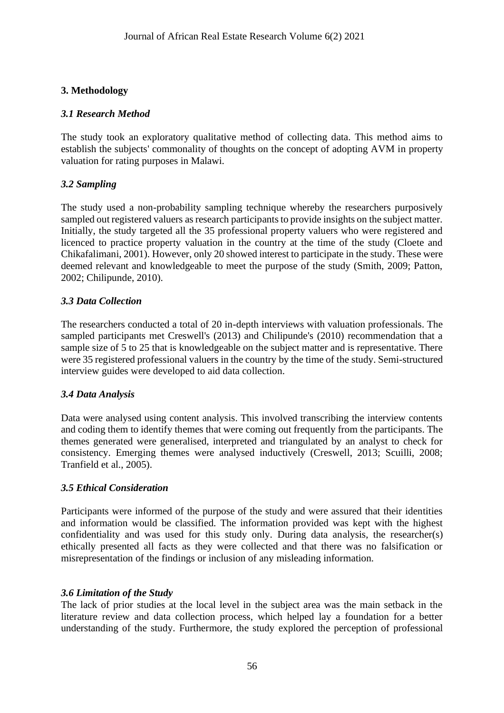## **3. Methodology**

### *3.1 Research Method*

The study took an exploratory qualitative method of collecting data. This method aims to establish the subjects' commonality of thoughts on the concept of adopting AVM in property valuation for rating purposes in Malawi.

### *3.2 Sampling*

The study used a non-probability sampling technique whereby the researchers purposively sampled out registered valuers as research participants to provide insights on the subject matter. Initially, the study targeted all the 35 professional property valuers who were registered and licenced to practice property valuation in the country at the time of the study (Cloete and Chikafalimani, 2001). However, only 20 showed interest to participate in the study. These were deemed relevant and knowledgeable to meet the purpose of the study (Smith, 2009; Patton, 2002; Chilipunde, 2010).

#### *3.3 Data Collection*

The researchers conducted a total of 20 in-depth interviews with valuation professionals. The sampled participants met Creswell's (2013) and Chilipunde's (2010) recommendation that a sample size of 5 to 25 that is knowledgeable on the subject matter and is representative. There were 35 registered professional valuers in the country by the time of the study. Semi-structured interview guides were developed to aid data collection.

#### *3.4 Data Analysis*

Data were analysed using content analysis. This involved transcribing the interview contents and coding them to identify themes that were coming out frequently from the participants. The themes generated were generalised, interpreted and triangulated by an analyst to check for consistency. Emerging themes were analysed inductively (Creswell, 2013; Scuilli, 2008; Tranfield et al., 2005).

#### *3.5 Ethical Consideration*

Participants were informed of the purpose of the study and were assured that their identities and information would be classified. The information provided was kept with the highest confidentiality and was used for this study only. During data analysis, the researcher(s) ethically presented all facts as they were collected and that there was no falsification or misrepresentation of the findings or inclusion of any misleading information.

#### *3.6 Limitation of the Study*

The lack of prior studies at the local level in the subject area was the main setback in the literature review and data collection process, which helped lay a foundation for a better understanding of the study. Furthermore, the study explored the perception of professional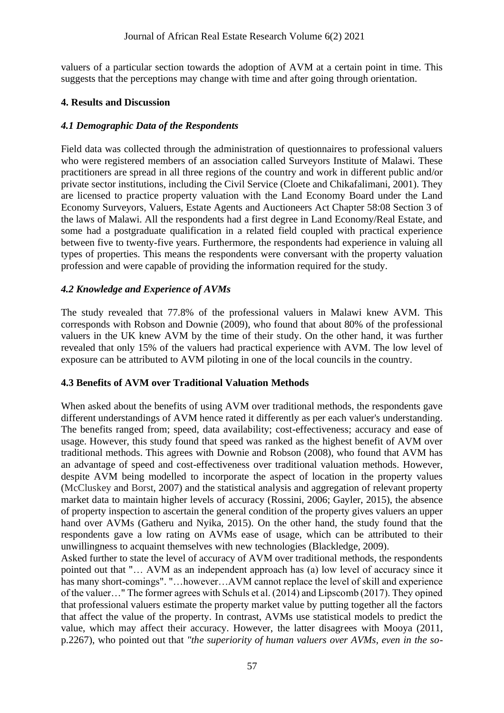valuers of a particular section towards the adoption of AVM at a certain point in time. This suggests that the perceptions may change with time and after going through orientation.

#### **4. Results and Discussion**

#### *4.1 Demographic Data of the Respondents*

Field data was collected through the administration of questionnaires to professional valuers who were registered members of an association called Surveyors Institute of Malawi. These practitioners are spread in all three regions of the country and work in different public and/or private sector institutions, including the Civil Service (Cloete and Chikafalimani, 2001). They are licensed to practice property valuation with the Land Economy Board under the Land Economy Surveyors, Valuers, Estate Agents and Auctioneers Act Chapter 58:08 Section 3 of the laws of Malawi. All the respondents had a first degree in Land Economy/Real Estate, and some had a postgraduate qualification in a related field coupled with practical experience between five to twenty-five years. Furthermore, the respondents had experience in valuing all types of properties. This means the respondents were conversant with the property valuation profession and were capable of providing the information required for the study.

#### *4.2 Knowledge and Experience of AVMs*

The study revealed that 77.8% of the professional valuers in Malawi knew AVM. This corresponds with Robson and Downie (2009), who found that about 80% of the professional valuers in the UK knew AVM by the time of their study. On the other hand, it was further revealed that only 15% of the valuers had practical experience with AVM. The low level of exposure can be attributed to AVM piloting in one of the local councils in the country.

#### **4.3 Benefits of AVM over Traditional Valuation Methods**

When asked about the benefits of using AVM over traditional methods, the respondents gave different understandings of AVM hence rated it differently as per each valuer's understanding. The benefits ranged from; speed, data availability; cost-effectiveness; accuracy and ease of usage. However, this study found that speed was ranked as the highest benefit of AVM over traditional methods. This agrees with Downie and Robson (2008), who found that AVM has an advantage of speed and cost-effectiveness over traditional valuation methods. However, despite AVM being modelled to incorporate the aspect of location in the property values (McCluskey and Borst, 2007) and the statistical analysis and aggregation of relevant property market data to maintain higher levels of accuracy (Rossini, 2006; Gayler, 2015), the absence of property inspection to ascertain the general condition of the property gives valuers an upper hand over AVMs (Gatheru and Nyika, 2015). On the other hand, the study found that the respondents gave a low rating on AVMs ease of usage, which can be attributed to their unwillingness to acquaint themselves with new technologies (Blackledge, 2009).

Asked further to state the level of accuracy of AVM over traditional methods, the respondents pointed out that "… AVM as an independent approach has (a) low level of accuracy since it has many short-comings". "...however...AVM cannot replace the level of skill and experience of the valuer…" The former agrees with Schuls et al. (2014) and Lipscomb (2017). They opined that professional valuers estimate the property market value by putting together all the factors that affect the value of the property. In contrast, AVMs use statistical models to predict the value, which may affect their accuracy. However, the latter disagrees with Mooya (2011, p.2267), who pointed out that *"the superiority of human valuers over AVMs, even in the so-*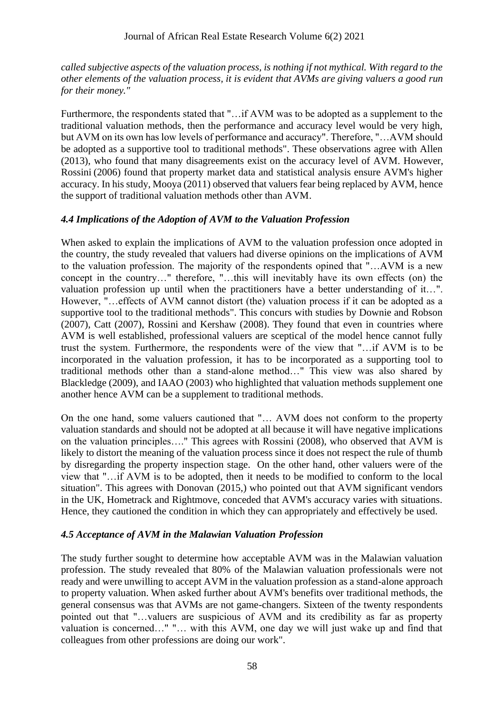*called subjective aspects of the valuation process, is nothing if not mythical. With regard to the other elements of the valuation process, it is evident that AVMs are giving valuers a good run for their money."*

Furthermore, the respondents stated that "…if AVM was to be adopted as a supplement to the traditional valuation methods, then the performance and accuracy level would be very high, but AVM on its own has low levels of performance and accuracy". Therefore, "…AVM should be adopted as a supportive tool to traditional methods". These observations agree with Allen (2013), who found that many disagreements exist on the accuracy level of AVM. However, Rossini (2006) found that property market data and statistical analysis ensure AVM's higher accuracy. In his study, Mooya (2011) observed that valuers fear being replaced by AVM, hence the support of traditional valuation methods other than AVM.

### *4.4 Implications of the Adoption of AVM to the Valuation Profession*

When asked to explain the implications of AVM to the valuation profession once adopted in the country, the study revealed that valuers had diverse opinions on the implications of AVM to the valuation profession. The majority of the respondents opined that "…AVM is a new concept in the country…" therefore, "…this will inevitably have its own effects (on) the valuation profession up until when the practitioners have a better understanding of it…". However, "…effects of AVM cannot distort (the) valuation process if it can be adopted as a supportive tool to the traditional methods". This concurs with studies by Downie and Robson (2007), Catt (2007), Rossini and Kershaw (2008). They found that even in countries where AVM is well established, professional valuers are sceptical of the model hence cannot fully trust the system. Furthermore, the respondents were of the view that "…if AVM is to be incorporated in the valuation profession, it has to be incorporated as a supporting tool to traditional methods other than a stand-alone method…" This view was also shared by Blackledge (2009), and IAAO (2003) who highlighted that valuation methods supplement one another hence AVM can be a supplement to traditional methods.

On the one hand, some valuers cautioned that "… AVM does not conform to the property valuation standards and should not be adopted at all because it will have negative implications on the valuation principles…." This agrees with Rossini (2008), who observed that AVM is likely to distort the meaning of the valuation process since it does not respect the rule of thumb by disregarding the property inspection stage. On the other hand, other valuers were of the view that "…if AVM is to be adopted, then it needs to be modified to conform to the local situation". This agrees with Donovan (2015,) who pointed out that AVM significant vendors in the UK, Hometrack and Rightmove, conceded that AVM's accuracy varies with situations. Hence, they cautioned the condition in which they can appropriately and effectively be used.

#### *4.5 Acceptance of AVM in the Malawian Valuation Profession*

The study further sought to determine how acceptable AVM was in the Malawian valuation profession. The study revealed that 80% of the Malawian valuation professionals were not ready and were unwilling to accept AVM in the valuation profession as a stand-alone approach to property valuation. When asked further about AVM's benefits over traditional methods, the general consensus was that AVMs are not game-changers. Sixteen of the twenty respondents pointed out that "…valuers are suspicious of AVM and its credibility as far as property valuation is concerned…" "… with this AVM, one day we will just wake up and find that colleagues from other professions are doing our work".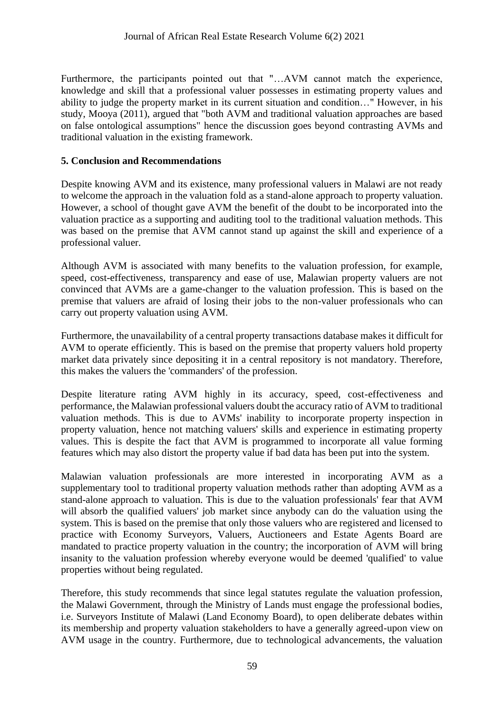Furthermore, the participants pointed out that "…AVM cannot match the experience, knowledge and skill that a professional valuer possesses in estimating property values and ability to judge the property market in its current situation and condition…" However, in his study, Mooya (2011), argued that "both AVM and traditional valuation approaches are based on false ontological assumptions" hence the discussion goes beyond contrasting AVMs and traditional valuation in the existing framework.

### **5. Conclusion and Recommendations**

Despite knowing AVM and its existence, many professional valuers in Malawi are not ready to welcome the approach in the valuation fold as a stand-alone approach to property valuation. However, a school of thought gave AVM the benefit of the doubt to be incorporated into the valuation practice as a supporting and auditing tool to the traditional valuation methods. This was based on the premise that AVM cannot stand up against the skill and experience of a professional valuer.

Although AVM is associated with many benefits to the valuation profession, for example, speed, cost-effectiveness, transparency and ease of use, Malawian property valuers are not convinced that AVMs are a game-changer to the valuation profession. This is based on the premise that valuers are afraid of losing their jobs to the non-valuer professionals who can carry out property valuation using AVM.

Furthermore, the unavailability of a central property transactions database makes it difficult for AVM to operate efficiently. This is based on the premise that property valuers hold property market data privately since depositing it in a central repository is not mandatory. Therefore, this makes the valuers the 'commanders' of the profession.

Despite literature rating AVM highly in its accuracy, speed, cost-effectiveness and performance, the Malawian professional valuers doubt the accuracy ratio of AVM to traditional valuation methods. This is due to AVMs' inability to incorporate property inspection in property valuation, hence not matching valuers' skills and experience in estimating property values. This is despite the fact that AVM is programmed to incorporate all value forming features which may also distort the property value if bad data has been put into the system.

Malawian valuation professionals are more interested in incorporating AVM as a supplementary tool to traditional property valuation methods rather than adopting AVM as a stand-alone approach to valuation. This is due to the valuation professionals' fear that AVM will absorb the qualified valuers' job market since anybody can do the valuation using the system. This is based on the premise that only those valuers who are registered and licensed to practice with Economy Surveyors, Valuers, Auctioneers and Estate Agents Board are mandated to practice property valuation in the country; the incorporation of AVM will bring insanity to the valuation profession whereby everyone would be deemed 'qualified' to value properties without being regulated.

Therefore, this study recommends that since legal statutes regulate the valuation profession, the Malawi Government, through the Ministry of Lands must engage the professional bodies, i.e. Surveyors Institute of Malawi (Land Economy Board), to open deliberate debates within its membership and property valuation stakeholders to have a generally agreed-upon view on AVM usage in the country. Furthermore, due to technological advancements, the valuation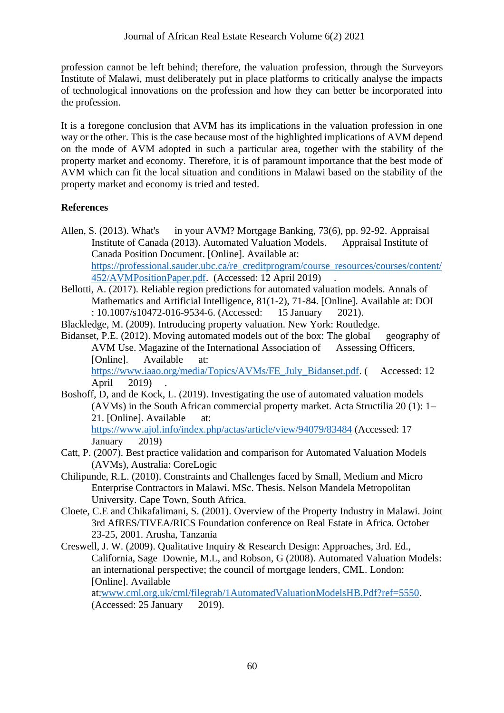profession cannot be left behind; therefore, the valuation profession, through the Surveyors Institute of Malawi, must deliberately put in place platforms to critically analyse the impacts of technological innovations on the profession and how they can better be incorporated into the profession.

It is a foregone conclusion that AVM has its implications in the valuation profession in one way or the other. This is the case because most of the highlighted implications of AVM depend on the mode of AVM adopted in such a particular area, together with the stability of the property market and economy. Therefore, it is of paramount importance that the best mode of AVM which can fit the local situation and conditions in Malawi based on the stability of the property market and economy is tried and tested.

# **References**

Allen, S. (2013). What's in your AVM? Mortgage Banking, 73(6), pp. 92-92. Appraisal Institute of Canada (2013). Automated Valuation Models. Appraisal Institute of Canada Position Document. [Online]. Available at: [https://professional.sauder.ubc.ca/re\\_creditprogram/course\\_resources/courses/content/](https://professional.sauder.ubc.ca/re_creditprogram/course_resources/courses/content/452/AVMPositionPaper.pdf) [452/AVMPositionPaper.pdf.](https://professional.sauder.ubc.ca/re_creditprogram/course_resources/courses/content/452/AVMPositionPaper.pdf) (Accessed: 12 April 2019) .

Bellotti, A. (2017). Reliable region predictions for automated valuation models. Annals of Mathematics and Artificial Intelligence, 81(1-2), 71-84. [Online]. Available at: DOI : 10.1007/s10472-016-9534-6. (Accessed: 15 January 2021).

Blackledge, M. (2009). Introducing property valuation. New York: Routledge.

Bidanset, P.E. (2012). Moving automated models out of the box: The global geography of AVM Use. Magazine of the International Association of Assessing Officers, [Online]. Available at:

[https://www.iaao.org/media/Topics/AVMs/FE\\_July\\_Bidanset.pdf.](https://www.iaao.org/media/Topics/AVMs/FE_July_Bidanset.pdf) ( Accessed: 12 April 2019) .

Boshoff, D, and de Kock, L. (2019). Investigating the use of automated valuation models (AVMs) in the South African commercial property market. Acta Structilia 20 (1): 1– 21. [Online]. Available at:

<https://www.ajol.info/index.php/actas/article/view/94079/83484> (Accessed: 17 January 2019)

- Catt, P. (2007). Best practice validation and comparison for Automated Valuation Models (AVMs), Australia: CoreLogic
- Chilipunde, R.L. (2010). Constraints and Challenges faced by Small, Medium and Micro Enterprise Contractors in Malawi. MSc. Thesis. Nelson Mandela Metropolitan University. Cape Town, South Africa.
- Cloete, C.E and Chikafalimani, S. (2001). Overview of the Property Industry in Malawi. Joint 3rd AfRES/TIVEA/RICS Foundation conference on Real Estate in Africa. October 23-25, 2001. Arusha, Tanzania
- Creswell, J. W. (2009). Qualitative Inquiry & Research Design: Approaches, 3rd. Ed., California, Sage Downie, M.L, and Robson, G (2008). Automated Valuation Models: an international perspective; the council of mortgage lenders, CML. London: [Online]. Available

at[:www.cml.org.uk/cml/filegrab/1AutomatedValuationModelsHB.Pdf?ref=5550.](http://www.cml.org.uk/cml/filegrab/1AutomatedValuationModelsHB.Pdf?ref=5550) (Accessed: 25 January 2019).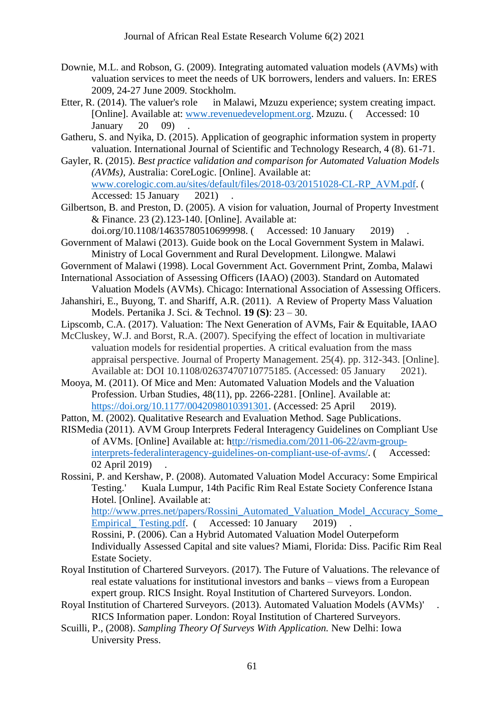- Downie, M.L. and Robson, G. (2009). Integrating automated valuation models (AVMs) with valuation services to meet the needs of UK borrowers, lenders and valuers. In: ERES 2009, 24-27 June 2009. Stockholm.
- Etter, R. (2014). The valuer's role in Malawi, Mzuzu experience; system creating impact. [Online]. Available at: [www.revenuedevelopment.org.](http://www.revenuedevelopment.org/) Mzuzu. ( Accessed: 10 January  $20$  09)
- Gatheru, S. and Nyika, D. (2015). Application of geographic information system in property valuation. International Journal of Scientific and Technology Research, 4 (8). 61-71.
- Gayler, R. (2015). *Best practice validation and comparison for Automated Valuation Models (AVMs),* Australia: CoreLogic. [Online]. Available at: [www.corelogic.com.au/sites/default/files/2018-03/20151028-CL-RP\\_AVM.pdf.](http://www.corelogic.com.au/sites/default/files/2018-03/20151028-CL-RP_AVM.pdf) ( Accessed: 15 January 2021).
- Gilbertson, B. and Preston, D. (2005). A vision for valuation, Journal of Property Investment & Finance. 23 (2).123-140. [Online]. Available at:
- doi.org/10.1108/14635780510699998. ( Accessed: 10 January 2019) . Government of Malawi (2013). Guide book on the Local Government System in Malawi. Ministry of Local Government and Rural Development. Lilongwe. Malawi
- Government of Malawi (1998). Local Government Act. Government Print, Zomba, Malawi
- International Association of Assessing Officers (IAAO) (2003). Standard on Automated Valuation Models (AVMs). Chicago: International Association of Assessing Officers.
- Jahanshiri, E., Buyong, T. and Shariff, A.R. (2011). A Review of Property Mass Valuation Models. Pertanika J. Sci. & Technol. **19 (S)**: 23 – 30.
- Lipscomb, C.A. (2017). Valuation: The Next Generation of AVMs, Fair & Equitable, IAAO
- McCluskey, W.J. and Borst, R.A. (2007). Specifying the effect of location in multivariate valuation models for residential properties. A critical evaluation from the mass appraisal perspective. Journal of Property Management. 25(4). pp. 312-343. [Online]. Available at: DOI 10.1108/02637470710775185. (Accessed: 05 January 2021).
- Mooya, M. (2011). Of Mice and Men: Automated Valuation Models and the Valuation Profession. Urban Studies, 48(11), pp. 2266-2281. [Online]. Available at: [https://doi.org/10.1177/0042098010391301.](https://doi.org/10.1177%2F0042098010391301) (Accessed: 25 April 2019).
- Patton, M. (2002). Qualitative Research and Evaluation Method. Sage Publications.
- RISMedia (2011). AVM Group Interprets Federal Interagency Guidelines on Compliant Use of AVMs. [Online] Available at: [http://rismedia.com/2011-06-22/avm-group](http://rismedia.com/2011-06-22/avm-group-interprets-federalinteragency-guidelines-on-compliant-use-of-avms/)[interprets-federalinteragency-guidelines-on-compliant-use-of-avms/.](http://rismedia.com/2011-06-22/avm-group-interprets-federalinteragency-guidelines-on-compliant-use-of-avms/) ( Accessed: 02 April 2019) .

Rossini, P. and Kershaw, P. (2008). Automated Valuation Model Accuracy: Some Empirical Testing.' Kuala Lumpur, 14th Pacific Rim Real Estate Society Conference Istana Hotel. [Online]. Available at: http://www.prres.net/papers/Rossini\_Automated\_Valuation\_Model\_Accuracy\_Some Empirical Testing.pdf. ( Accessed: 10 January 2019) Rossini, P. (2006). Can a Hybrid Automated Valuation Model Outerpeform Individually Assessed Capital and site values? Miami, Florida: Diss. Pacific Rim Real Estate Society.

- Royal Institution of Chartered Surveyors. (2017). The Future of Valuations. The relevance of real estate valuations for institutional investors and banks – views from a European expert group. RICS Insight. Royal Institution of Chartered Surveyors. London.
- Royal Institution of Chartered Surveyors. (2013). Automated Valuation Models (AVMs)' . RICS Information paper. London: Royal Institution of Chartered Surveyors.
- Scuilli, P., (2008). *Sampling Theory Of Surveys With Application.* New Delhi: Iowa University Press.